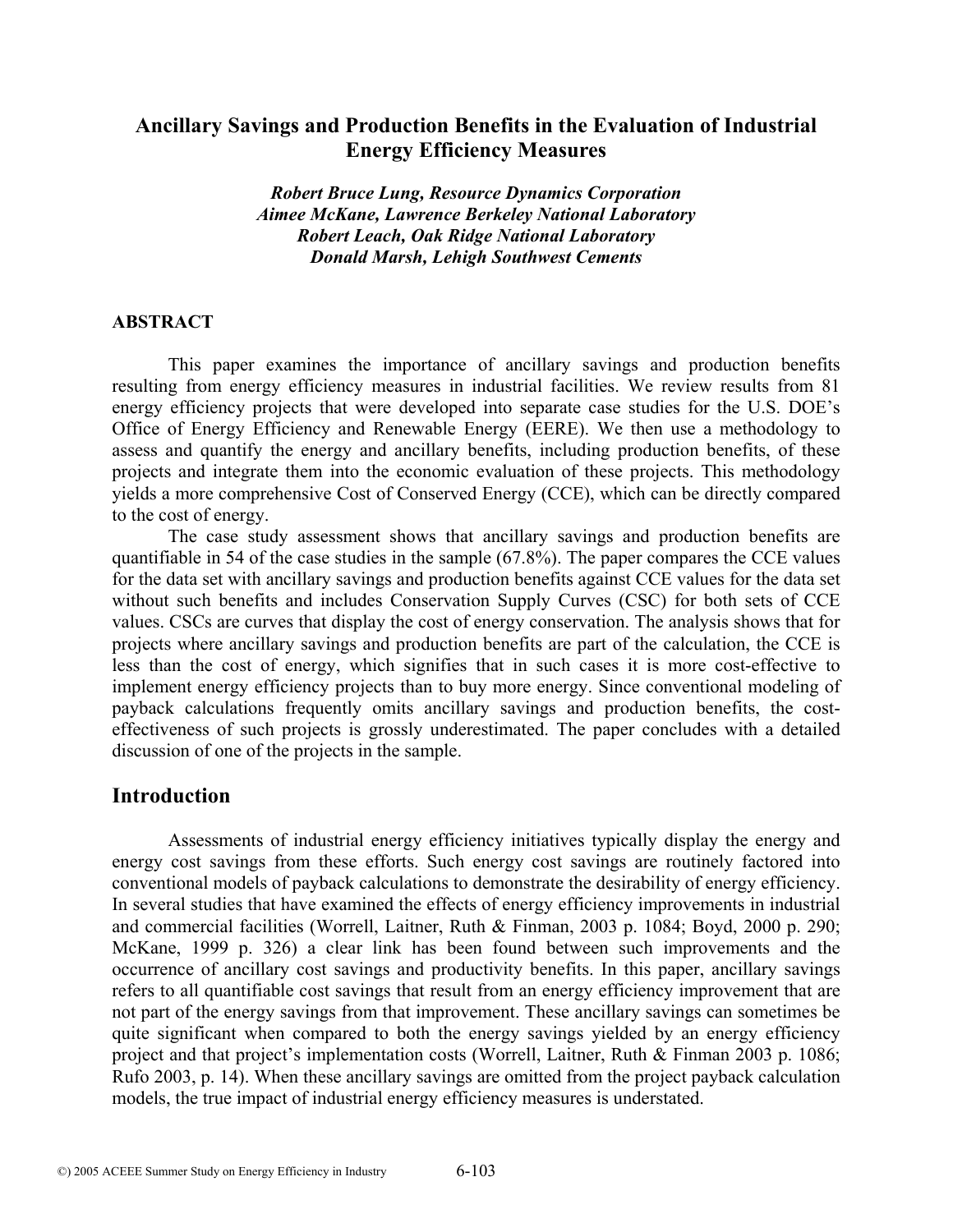# **Ancillary Savings and Production Benefits in the Evaluation of Industrial Energy Efficiency Measures**

*Robert Bruce Lung, Resource Dynamics Corporation Aimee McKane, Lawrence Berkeley National Laboratory Robert Leach, Oak Ridge National Laboratory Donald Marsh, Lehigh Southwest Cements* 

#### **ABSTRACT**

This paper examines the importance of ancillary savings and production benefits resulting from energy efficiency measures in industrial facilities. We review results from 81 energy efficiency projects that were developed into separate case studies for the U.S. DOE's Office of Energy Efficiency and Renewable Energy (EERE). We then use a methodology to assess and quantify the energy and ancillary benefits, including production benefits, of these projects and integrate them into the economic evaluation of these projects. This methodology yields a more comprehensive Cost of Conserved Energy (CCE), which can be directly compared to the cost of energy.

The case study assessment shows that ancillary savings and production benefits are quantifiable in 54 of the case studies in the sample (67.8%). The paper compares the CCE values for the data set with ancillary savings and production benefits against CCE values for the data set without such benefits and includes Conservation Supply Curves (CSC) for both sets of CCE values. CSCs are curves that display the cost of energy conservation. The analysis shows that for projects where ancillary savings and production benefits are part of the calculation, the CCE is less than the cost of energy, which signifies that in such cases it is more cost-effective to implement energy efficiency projects than to buy more energy. Since conventional modeling of payback calculations frequently omits ancillary savings and production benefits, the costeffectiveness of such projects is grossly underestimated. The paper concludes with a detailed discussion of one of the projects in the sample.

### **Introduction**

Assessments of industrial energy efficiency initiatives typically display the energy and energy cost savings from these efforts. Such energy cost savings are routinely factored into conventional models of payback calculations to demonstrate the desirability of energy efficiency. In several studies that have examined the effects of energy efficiency improvements in industrial and commercial facilities (Worrell, Laitner, Ruth & Finman, 2003 p. 1084; Boyd, 2000 p. 290; McKane, 1999 p. 326) a clear link has been found between such improvements and the occurrence of ancillary cost savings and productivity benefits. In this paper, ancillary savings refers to all quantifiable cost savings that result from an energy efficiency improvement that are not part of the energy savings from that improvement. These ancillary savings can sometimes be quite significant when compared to both the energy savings yielded by an energy efficiency project and that project's implementation costs (Worrell, Laitner, Ruth & Finman 2003 p. 1086; Rufo 2003, p. 14). When these ancillary savings are omitted from the project payback calculation models, the true impact of industrial energy efficiency measures is understated.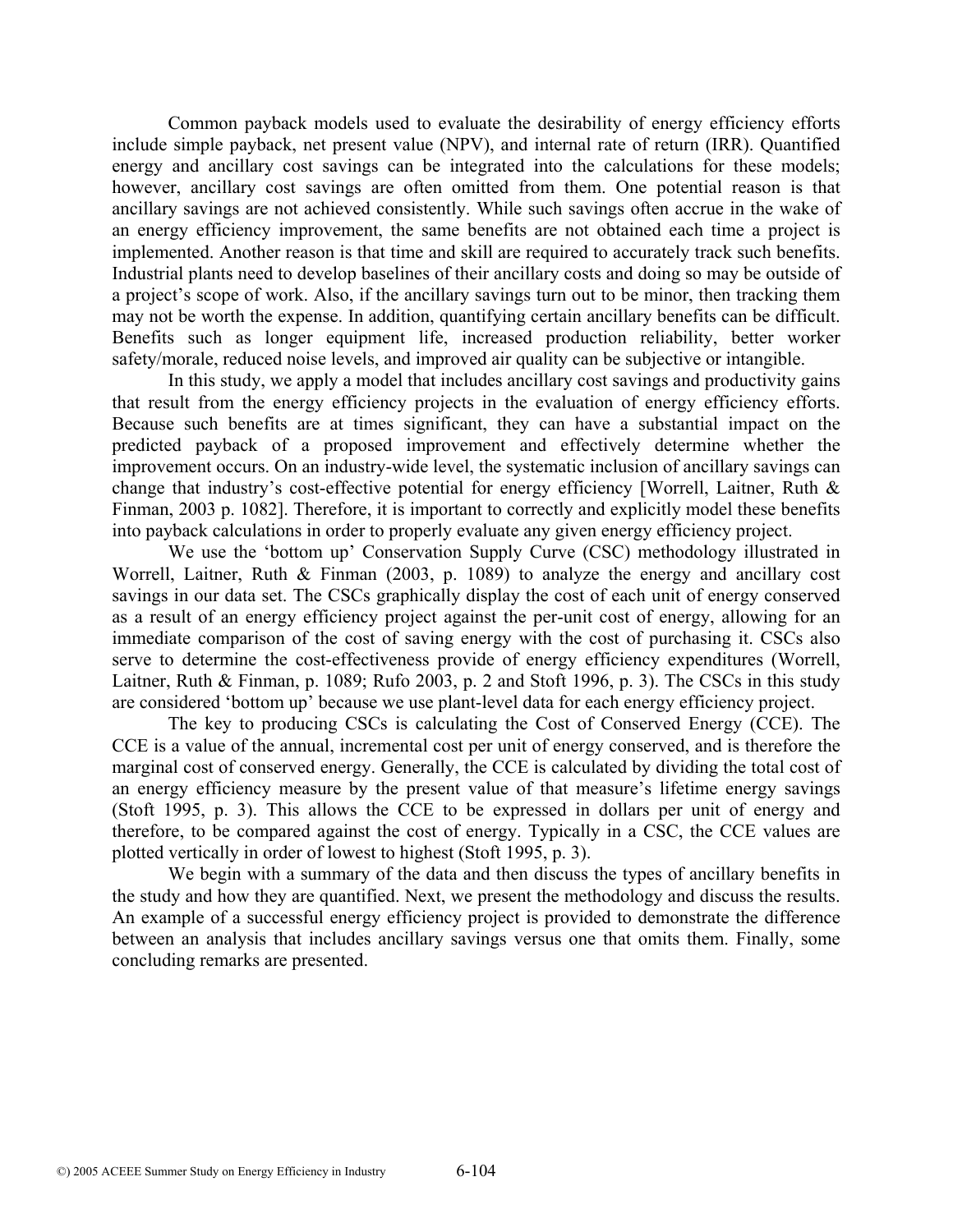Common payback models used to evaluate the desirability of energy efficiency efforts include simple payback, net present value (NPV), and internal rate of return (IRR). Quantified energy and ancillary cost savings can be integrated into the calculations for these models; however, ancillary cost savings are often omitted from them. One potential reason is that ancillary savings are not achieved consistently. While such savings often accrue in the wake of an energy efficiency improvement, the same benefits are not obtained each time a project is implemented. Another reason is that time and skill are required to accurately track such benefits. Industrial plants need to develop baselines of their ancillary costs and doing so may be outside of a project's scope of work. Also, if the ancillary savings turn out to be minor, then tracking them may not be worth the expense. In addition, quantifying certain ancillary benefits can be difficult. Benefits such as longer equipment life, increased production reliability, better worker safety/morale, reduced noise levels, and improved air quality can be subjective or intangible.

In this study, we apply a model that includes ancillary cost savings and productivity gains that result from the energy efficiency projects in the evaluation of energy efficiency efforts. Because such benefits are at times significant, they can have a substantial impact on the predicted payback of a proposed improvement and effectively determine whether the improvement occurs. On an industry-wide level, the systematic inclusion of ancillary savings can change that industry's cost-effective potential for energy efficiency [Worrell, Laitner, Ruth & Finman, 2003 p. 1082]. Therefore, it is important to correctly and explicitly model these benefits into payback calculations in order to properly evaluate any given energy efficiency project.

We use the 'bottom up' Conservation Supply Curve (CSC) methodology illustrated in Worrell, Laitner, Ruth & Finman (2003, p. 1089) to analyze the energy and ancillary cost savings in our data set. The CSCs graphically display the cost of each unit of energy conserved as a result of an energy efficiency project against the per-unit cost of energy, allowing for an immediate comparison of the cost of saving energy with the cost of purchasing it. CSCs also serve to determine the cost-effectiveness provide of energy efficiency expenditures (Worrell, Laitner, Ruth & Finman, p. 1089; Rufo 2003, p. 2 and Stoft 1996, p. 3). The CSCs in this study are considered 'bottom up' because we use plant-level data for each energy efficiency project.

The key to producing CSCs is calculating the Cost of Conserved Energy (CCE). The CCE is a value of the annual, incremental cost per unit of energy conserved, and is therefore the marginal cost of conserved energy. Generally, the CCE is calculated by dividing the total cost of an energy efficiency measure by the present value of that measure's lifetime energy savings (Stoft 1995, p. 3). This allows the CCE to be expressed in dollars per unit of energy and therefore, to be compared against the cost of energy. Typically in a CSC, the CCE values are plotted vertically in order of lowest to highest (Stoft 1995, p. 3).

We begin with a summary of the data and then discuss the types of ancillary benefits in the study and how they are quantified. Next, we present the methodology and discuss the results. An example of a successful energy efficiency project is provided to demonstrate the difference between an analysis that includes ancillary savings versus one that omits them. Finally, some concluding remarks are presented.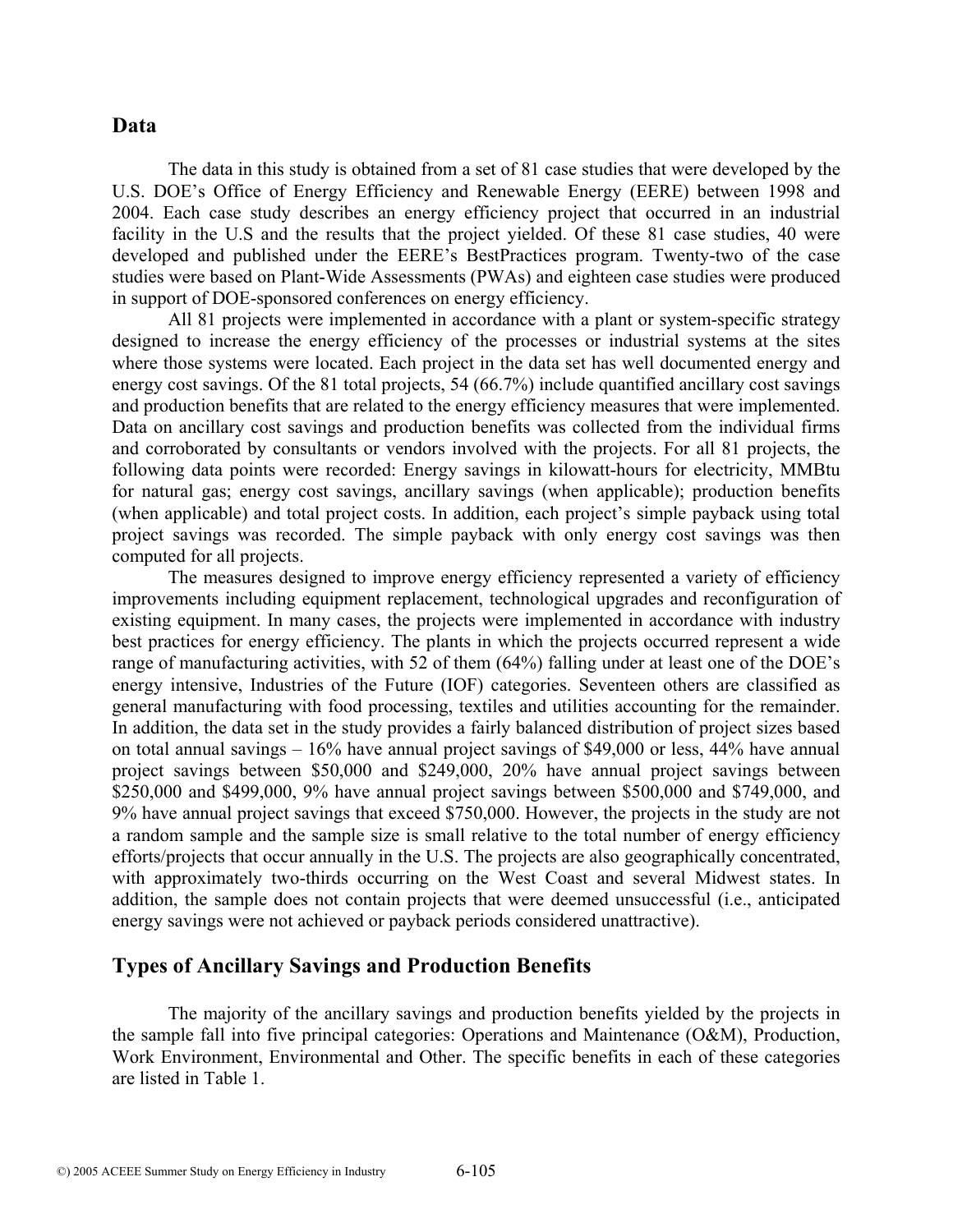#### **Data**

The data in this study is obtained from a set of 81 case studies that were developed by the U.S. DOE's Office of Energy Efficiency and Renewable Energy (EERE) between 1998 and 2004. Each case study describes an energy efficiency project that occurred in an industrial facility in the U.S and the results that the project yielded. Of these 81 case studies, 40 were developed and published under the EERE's BestPractices program. Twenty-two of the case studies were based on Plant-Wide Assessments (PWAs) and eighteen case studies were produced in support of DOE-sponsored conferences on energy efficiency.

All 81 projects were implemented in accordance with a plant or system-specific strategy designed to increase the energy efficiency of the processes or industrial systems at the sites where those systems were located. Each project in the data set has well documented energy and energy cost savings. Of the 81 total projects, 54 (66.7%) include quantified ancillary cost savings and production benefits that are related to the energy efficiency measures that were implemented. Data on ancillary cost savings and production benefits was collected from the individual firms and corroborated by consultants or vendors involved with the projects. For all 81 projects, the following data points were recorded: Energy savings in kilowatt-hours for electricity, MMBtu for natural gas; energy cost savings, ancillary savings (when applicable); production benefits (when applicable) and total project costs. In addition, each project's simple payback using total project savings was recorded. The simple payback with only energy cost savings was then computed for all projects.

The measures designed to improve energy efficiency represented a variety of efficiency improvements including equipment replacement, technological upgrades and reconfiguration of existing equipment. In many cases, the projects were implemented in accordance with industry best practices for energy efficiency. The plants in which the projects occurred represent a wide range of manufacturing activities, with 52 of them (64%) falling under at least one of the DOE's energy intensive, Industries of the Future (IOF) categories. Seventeen others are classified as general manufacturing with food processing, textiles and utilities accounting for the remainder. In addition, the data set in the study provides a fairly balanced distribution of project sizes based on total annual savings – 16% have annual project savings of \$49,000 or less, 44% have annual project savings between \$50,000 and \$249,000, 20% have annual project savings between \$250,000 and \$499,000, 9% have annual project savings between \$500,000 and \$749,000, and 9% have annual project savings that exceed \$750,000. However, the projects in the study are not a random sample and the sample size is small relative to the total number of energy efficiency efforts/projects that occur annually in the U.S. The projects are also geographically concentrated, with approximately two-thirds occurring on the West Coast and several Midwest states. In addition, the sample does not contain projects that were deemed unsuccessful (i.e., anticipated energy savings were not achieved or payback periods considered unattractive).

### **Types of Ancillary Savings and Production Benefits**

The majority of the ancillary savings and production benefits yielded by the projects in the sample fall into five principal categories: Operations and Maintenance (O&M), Production, Work Environment, Environmental and Other. The specific benefits in each of these categories are listed in Table 1.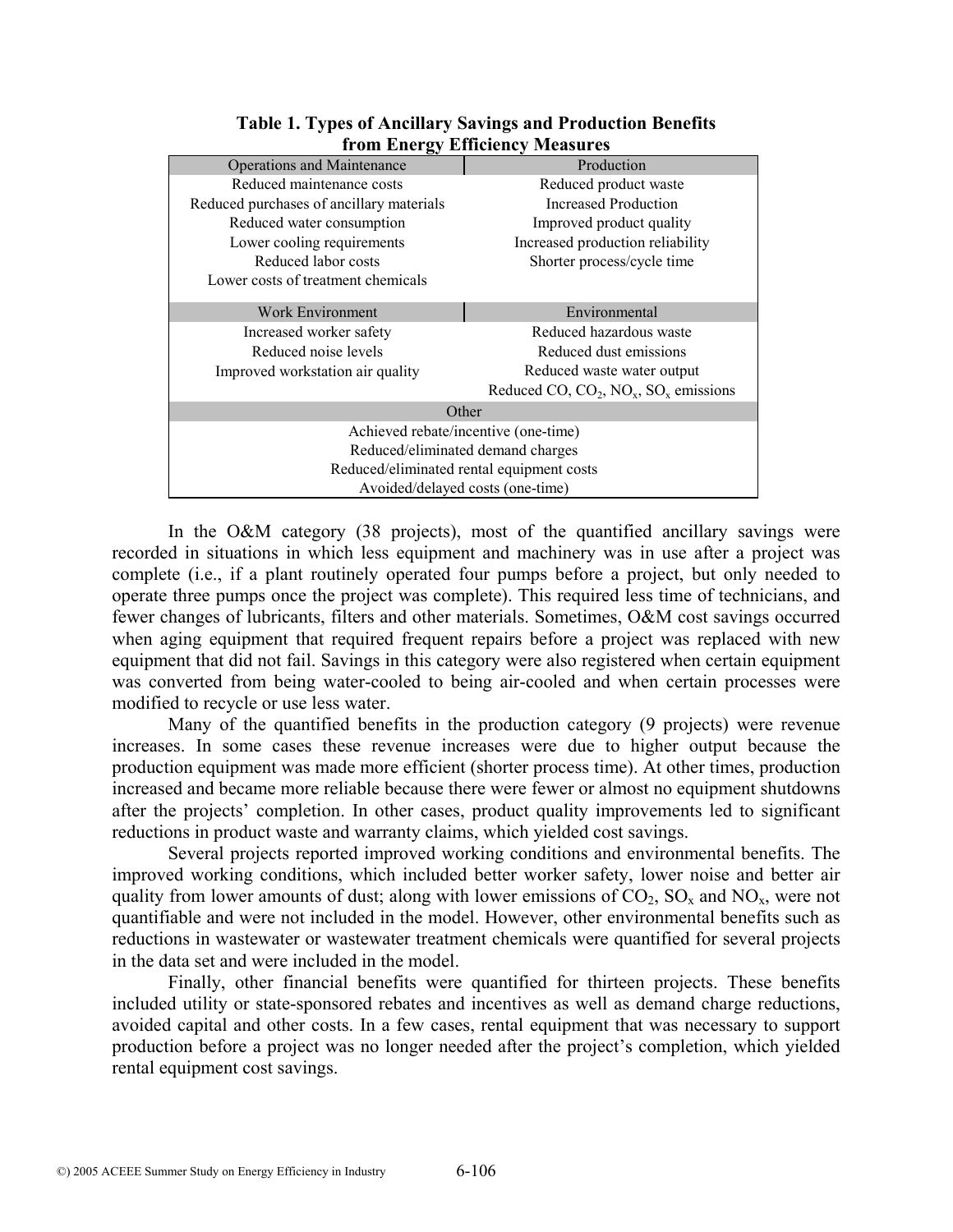| $\sim$                                    |                                                |  |  |  |  |  |  |  |  |
|-------------------------------------------|------------------------------------------------|--|--|--|--|--|--|--|--|
| <b>Operations and Maintenance</b>         | Production                                     |  |  |  |  |  |  |  |  |
| Reduced maintenance costs                 | Reduced product waste                          |  |  |  |  |  |  |  |  |
| Reduced purchases of ancillary materials  | <b>Increased Production</b>                    |  |  |  |  |  |  |  |  |
| Reduced water consumption                 | Improved product quality                       |  |  |  |  |  |  |  |  |
| Lower cooling requirements                | Increased production reliability               |  |  |  |  |  |  |  |  |
| Reduced labor costs                       | Shorter process/cycle time                     |  |  |  |  |  |  |  |  |
| Lower costs of treatment chemicals        |                                                |  |  |  |  |  |  |  |  |
|                                           |                                                |  |  |  |  |  |  |  |  |
| Work Environment                          | Environmental                                  |  |  |  |  |  |  |  |  |
| Increased worker safety                   | Reduced hazardous waste                        |  |  |  |  |  |  |  |  |
| Reduced noise levels                      | Reduced dust emissions                         |  |  |  |  |  |  |  |  |
| Improved workstation air quality          | Reduced waste water output                     |  |  |  |  |  |  |  |  |
|                                           | Reduced CO, $CO_2$ , $NO_x$ , $SO_x$ emissions |  |  |  |  |  |  |  |  |
| Other                                     |                                                |  |  |  |  |  |  |  |  |
| Achieved rebate/incentive (one-time)      |                                                |  |  |  |  |  |  |  |  |
| Reduced/eliminated demand charges         |                                                |  |  |  |  |  |  |  |  |
| Reduced/eliminated rental equipment costs |                                                |  |  |  |  |  |  |  |  |
| Avoided/delayed costs (one-time)          |                                                |  |  |  |  |  |  |  |  |
|                                           |                                                |  |  |  |  |  |  |  |  |

**Table 1. Types of Ancillary Savings and Production Benefits from Energy Efficiency Measures** 

In the O&M category (38 projects), most of the quantified ancillary savings were recorded in situations in which less equipment and machinery was in use after a project was complete (i.e., if a plant routinely operated four pumps before a project, but only needed to operate three pumps once the project was complete). This required less time of technicians, and fewer changes of lubricants, filters and other materials. Sometimes, O&M cost savings occurred when aging equipment that required frequent repairs before a project was replaced with new equipment that did not fail. Savings in this category were also registered when certain equipment was converted from being water-cooled to being air-cooled and when certain processes were modified to recycle or use less water.

Many of the quantified benefits in the production category (9 projects) were revenue increases. In some cases these revenue increases were due to higher output because the production equipment was made more efficient (shorter process time). At other times, production increased and became more reliable because there were fewer or almost no equipment shutdowns after the projects' completion. In other cases, product quality improvements led to significant reductions in product waste and warranty claims, which yielded cost savings.

Several projects reported improved working conditions and environmental benefits. The improved working conditions, which included better worker safety, lower noise and better air quality from lower amounts of dust; along with lower emissions of  $CO_2$ ,  $SO_x$  and  $NO_x$ , were not quantifiable and were not included in the model. However, other environmental benefits such as reductions in wastewater or wastewater treatment chemicals were quantified for several projects in the data set and were included in the model.

Finally, other financial benefits were quantified for thirteen projects. These benefits included utility or state-sponsored rebates and incentives as well as demand charge reductions, avoided capital and other costs. In a few cases, rental equipment that was necessary to support production before a project was no longer needed after the project's completion, which yielded rental equipment cost savings.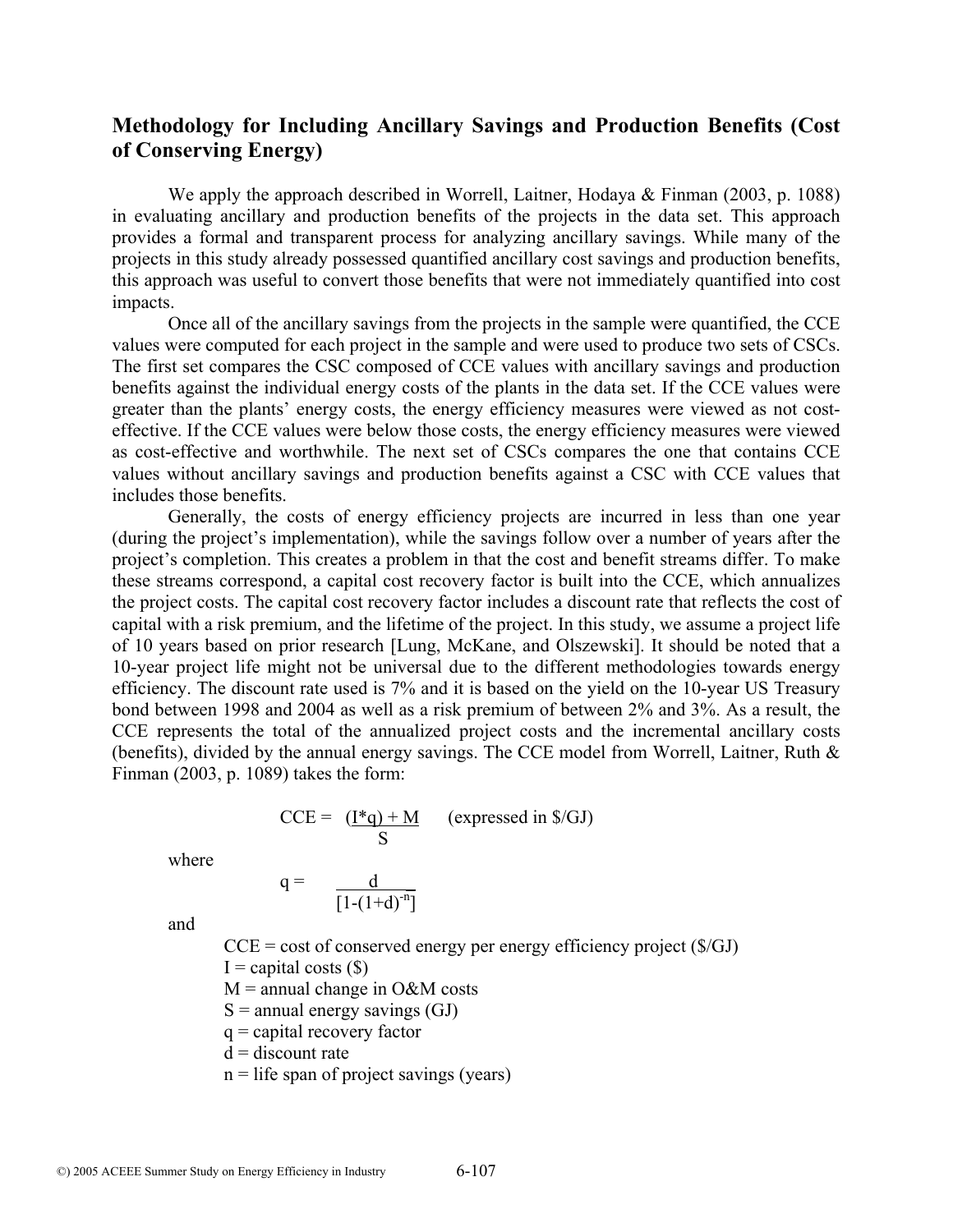# **Methodology for Including Ancillary Savings and Production Benefits (Cost of Conserving Energy)**

We apply the approach described in Worrell, Laitner, Hodaya & Finman (2003, p. 1088) in evaluating ancillary and production benefits of the projects in the data set. This approach provides a formal and transparent process for analyzing ancillary savings. While many of the projects in this study already possessed quantified ancillary cost savings and production benefits, this approach was useful to convert those benefits that were not immediately quantified into cost impacts.

Once all of the ancillary savings from the projects in the sample were quantified, the CCE values were computed for each project in the sample and were used to produce two sets of CSCs. The first set compares the CSC composed of CCE values with ancillary savings and production benefits against the individual energy costs of the plants in the data set. If the CCE values were greater than the plants' energy costs, the energy efficiency measures were viewed as not costeffective. If the CCE values were below those costs, the energy efficiency measures were viewed as cost-effective and worthwhile. The next set of CSCs compares the one that contains CCE values without ancillary savings and production benefits against a CSC with CCE values that includes those benefits.

Generally, the costs of energy efficiency projects are incurred in less than one year (during the project's implementation), while the savings follow over a number of years after the project's completion. This creates a problem in that the cost and benefit streams differ. To make these streams correspond, a capital cost recovery factor is built into the CCE, which annualizes the project costs. The capital cost recovery factor includes a discount rate that reflects the cost of capital with a risk premium, and the lifetime of the project. In this study, we assume a project life of 10 years based on prior research [Lung, McKane, and Olszewski]. It should be noted that a 10-year project life might not be universal due to the different methodologies towards energy efficiency. The discount rate used is 7% and it is based on the yield on the 10-year US Treasury bond between 1998 and 2004 as well as a risk premium of between 2% and 3%. As a result, the CCE represents the total of the annualized project costs and the incremental ancillary costs (benefits), divided by the annual energy savings. The CCE model from Worrell, Laitner, Ruth & Finman (2003, p. 1089) takes the form:

$$
CCE = \frac{(\mathbf{I}^*q) + M}{S} \quad \text{(expressed in §/GJ)}
$$

where

$$
q = \frac{d}{[1-(1+d)^{-n}]}
$$

and

 $CCE = \text{cost of conserved energy per energy efficiency project ($(GJ)$ 

 $I =$  capital costs  $(\$)$ 

 $M =$  annual change in O&M costs

 $S =$  annual energy savings  $(GJ)$ 

 $q =$ capital recovery factor

 $d =$  discount rate

 $n =$  life span of project savings (years)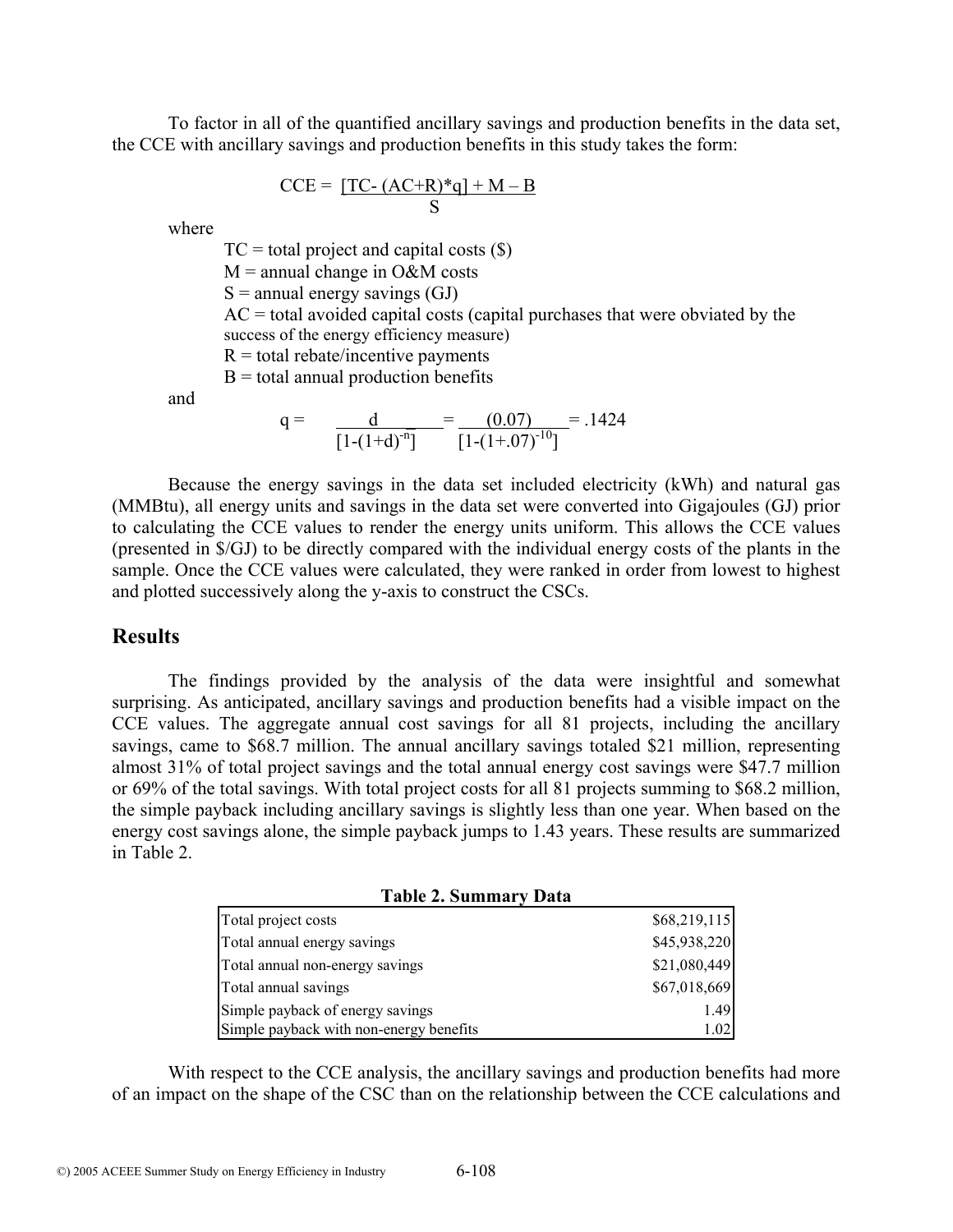To factor in all of the quantified ancillary savings and production benefits in the data set, the CCE with ancillary savings and production benefits in this study takes the form:

$$
CCE = \underbrace{[TC - (AC + R)*q] + M - B}_{S}
$$

where

 $TC = total project and capital costs ( $\$)$ )$ 

 $M =$  annual change in O&M costs

 $S =$  annual energy savings  $(GJ)$ 

 $AC =$  total avoided capital costs (capital purchases that were obviated by the success of the energy efficiency measure)

 $R =$  total rebate/incentive payments

 $B =$  total annual production benefits

and

$$
q = \frac{d}{[1-(1+d)^{-n}]} = \frac{(0.07)}{[1-(1+.07)^{-10}]} = .1424
$$

Because the energy savings in the data set included electricity (kWh) and natural gas (MMBtu), all energy units and savings in the data set were converted into Gigajoules (GJ) prior to calculating the CCE values to render the energy units uniform. This allows the CCE values (presented in \$/GJ) to be directly compared with the individual energy costs of the plants in the sample. Once the CCE values were calculated, they were ranked in order from lowest to highest and plotted successively along the y-axis to construct the CSCs.

## **Results**

The findings provided by the analysis of the data were insightful and somewhat surprising. As anticipated, ancillary savings and production benefits had a visible impact on the CCE values. The aggregate annual cost savings for all 81 projects, including the ancillary savings, came to \$68.7 million. The annual ancillary savings totaled \$21 million, representing almost 31% of total project savings and the total annual energy cost savings were \$47.7 million or 69% of the total savings. With total project costs for all 81 projects summing to \$68.2 million, the simple payback including ancillary savings is slightly less than one year. When based on the energy cost savings alone, the simple payback jumps to 1.43 years. These results are summarized in Table 2.

**Table 2. Summary Data** 

| Total project costs                     | \$68,219,115 |
|-----------------------------------------|--------------|
| Total annual energy savings             | \$45,938,220 |
| Total annual non-energy savings         | \$21,080,449 |
| Total annual savings                    | \$67,018,669 |
| Simple payback of energy savings        | 1.49         |
| Simple payback with non-energy benefits | 1.02         |

With respect to the CCE analysis, the ancillary savings and production benefits had more of an impact on the shape of the CSC than on the relationship between the CCE calculations and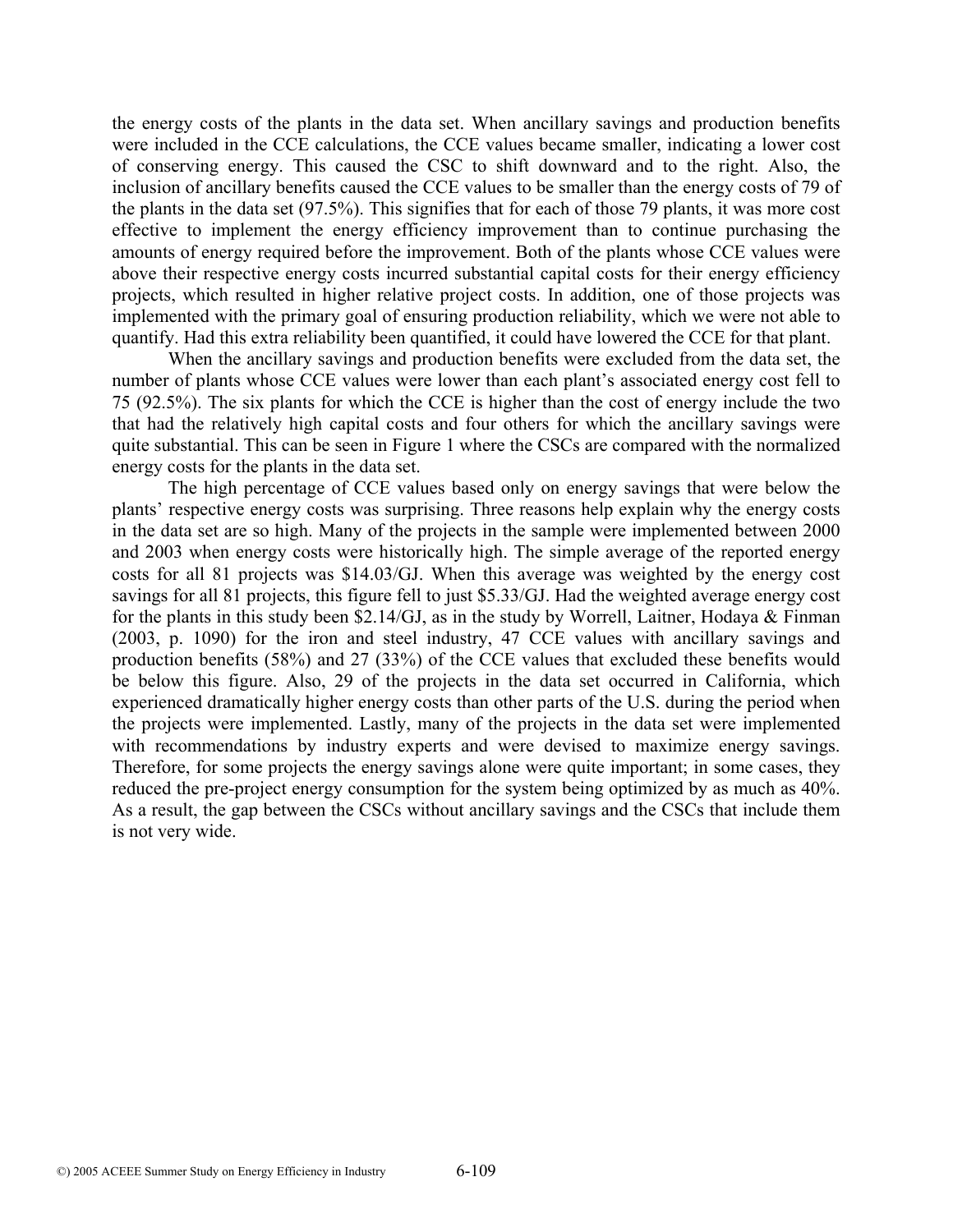the energy costs of the plants in the data set. When ancillary savings and production benefits were included in the CCE calculations, the CCE values became smaller, indicating a lower cost of conserving energy. This caused the CSC to shift downward and to the right. Also, the inclusion of ancillary benefits caused the CCE values to be smaller than the energy costs of 79 of the plants in the data set (97.5%). This signifies that for each of those 79 plants, it was more cost effective to implement the energy efficiency improvement than to continue purchasing the amounts of energy required before the improvement. Both of the plants whose CCE values were above their respective energy costs incurred substantial capital costs for their energy efficiency projects, which resulted in higher relative project costs. In addition, one of those projects was implemented with the primary goal of ensuring production reliability, which we were not able to quantify. Had this extra reliability been quantified, it could have lowered the CCE for that plant.

When the ancillary savings and production benefits were excluded from the data set, the number of plants whose CCE values were lower than each plant's associated energy cost fell to 75 (92.5%). The six plants for which the CCE is higher than the cost of energy include the two that had the relatively high capital costs and four others for which the ancillary savings were quite substantial. This can be seen in Figure 1 where the CSCs are compared with the normalized energy costs for the plants in the data set.

The high percentage of CCE values based only on energy savings that were below the plants' respective energy costs was surprising. Three reasons help explain why the energy costs in the data set are so high. Many of the projects in the sample were implemented between 2000 and 2003 when energy costs were historically high. The simple average of the reported energy costs for all 81 projects was \$14.03/GJ. When this average was weighted by the energy cost savings for all 81 projects, this figure fell to just \$5.33/GJ. Had the weighted average energy cost for the plants in this study been \$2.14/GJ, as in the study by Worrell, Laitner, Hodaya & Finman (2003, p. 1090) for the iron and steel industry, 47 CCE values with ancillary savings and production benefits (58%) and 27 (33%) of the CCE values that excluded these benefits would be below this figure. Also, 29 of the projects in the data set occurred in California, which experienced dramatically higher energy costs than other parts of the U.S. during the period when the projects were implemented. Lastly, many of the projects in the data set were implemented with recommendations by industry experts and were devised to maximize energy savings. Therefore, for some projects the energy savings alone were quite important; in some cases, they reduced the pre-project energy consumption for the system being optimized by as much as 40%. As a result, the gap between the CSCs without ancillary savings and the CSCs that include them is not very wide.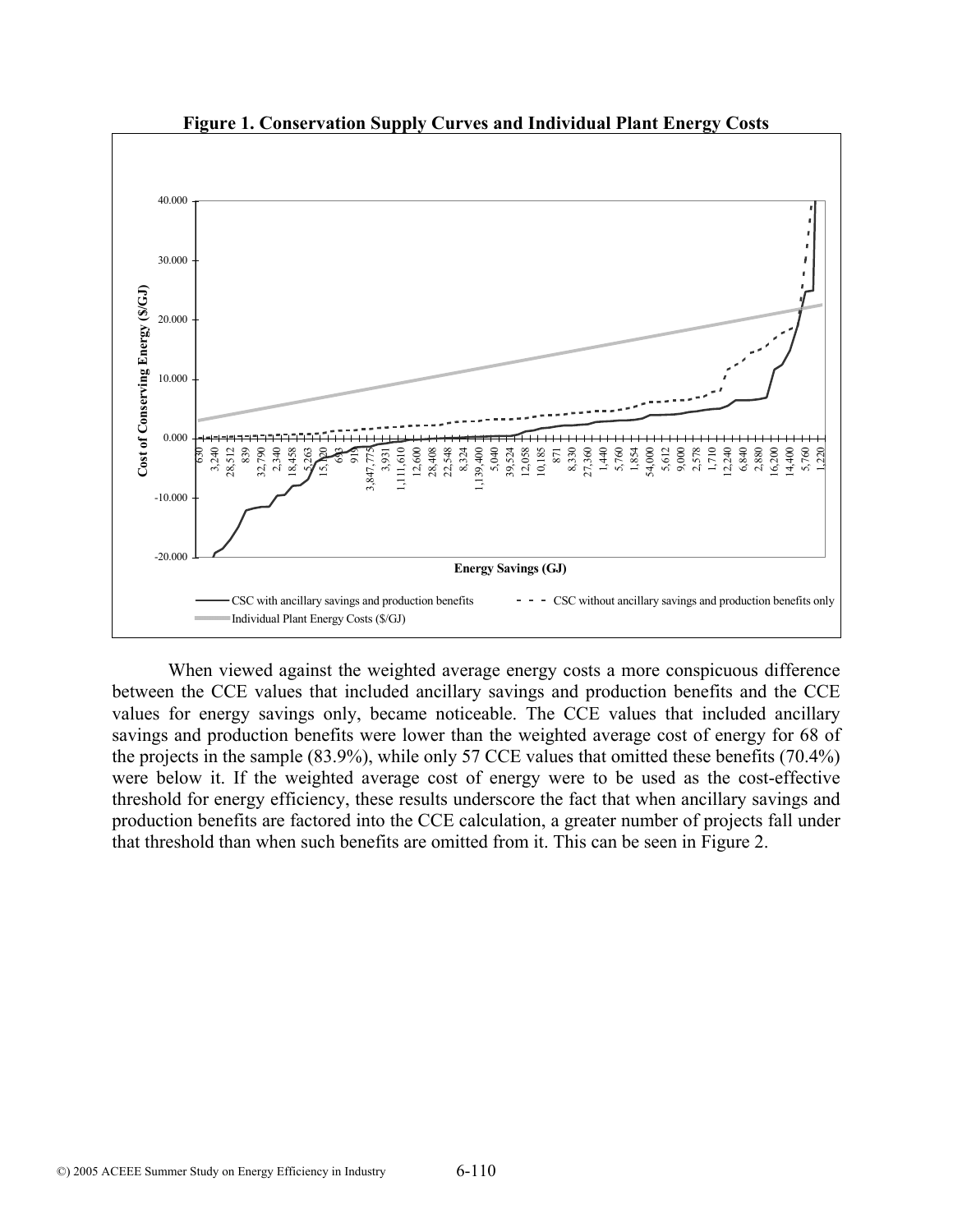

**Figure 1. Conservation Supply Curves and Individual Plant Energy Costs** 

When viewed against the weighted average energy costs a more conspicuous difference between the CCE values that included ancillary savings and production benefits and the CCE values for energy savings only, became noticeable. The CCE values that included ancillary savings and production benefits were lower than the weighted average cost of energy for 68 of the projects in the sample (83.9%), while only 57 CCE values that omitted these benefits (70.4%) were below it. If the weighted average cost of energy were to be used as the cost-effective threshold for energy efficiency, these results underscore the fact that when ancillary savings and production benefits are factored into the CCE calculation, a greater number of projects fall under that threshold than when such benefits are omitted from it. This can be seen in Figure 2.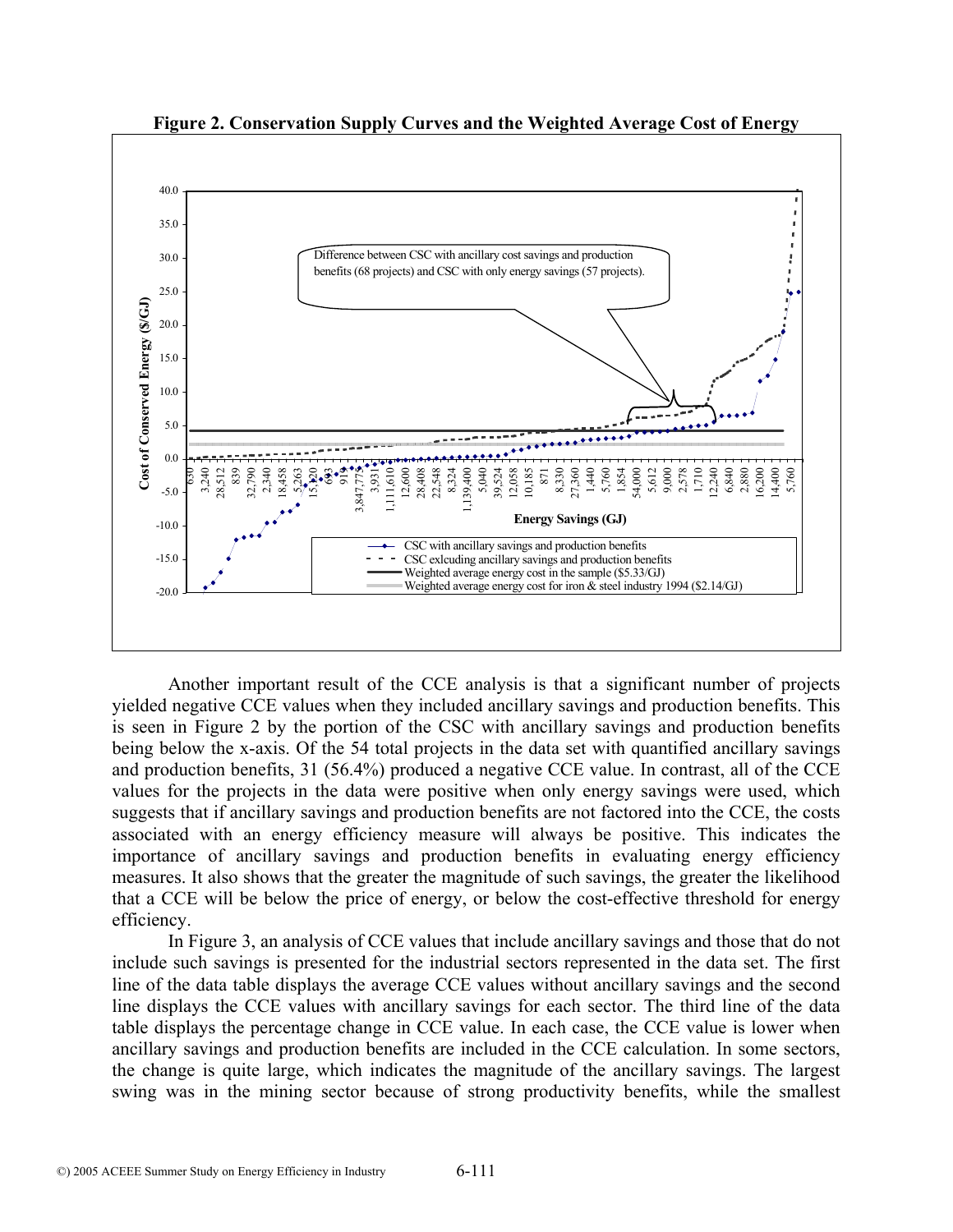

**Figure 2. Conservation Supply Curves and the Weighted Average Cost of Energy** 

Another important result of the CCE analysis is that a significant number of projects yielded negative CCE values when they included ancillary savings and production benefits. This is seen in Figure 2 by the portion of the CSC with ancillary savings and production benefits being below the x-axis. Of the 54 total projects in the data set with quantified ancillary savings and production benefits, 31 (56.4%) produced a negative CCE value. In contrast, all of the CCE values for the projects in the data were positive when only energy savings were used, which suggests that if ancillary savings and production benefits are not factored into the CCE, the costs associated with an energy efficiency measure will always be positive. This indicates the importance of ancillary savings and production benefits in evaluating energy efficiency measures. It also shows that the greater the magnitude of such savings, the greater the likelihood that a CCE will be below the price of energy, or below the cost-effective threshold for energy efficiency.

In Figure 3, an analysis of CCE values that include ancillary savings and those that do not include such savings is presented for the industrial sectors represented in the data set. The first line of the data table displays the average CCE values without ancillary savings and the second line displays the CCE values with ancillary savings for each sector. The third line of the data table displays the percentage change in CCE value. In each case, the CCE value is lower when ancillary savings and production benefits are included in the CCE calculation. In some sectors, the change is quite large, which indicates the magnitude of the ancillary savings. The largest swing was in the mining sector because of strong productivity benefits, while the smallest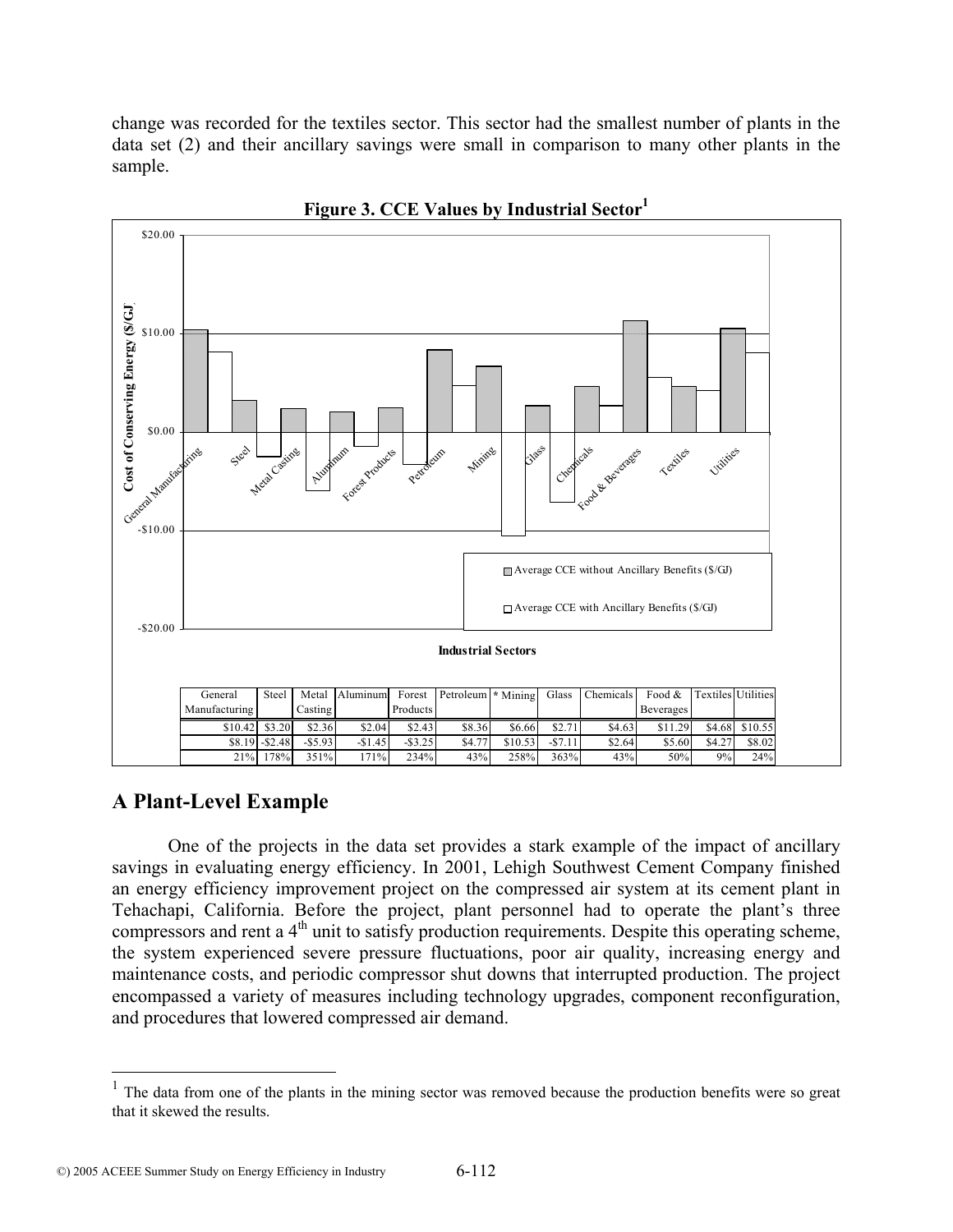change was recorded for the textiles sector. This sector had the smallest number of plants in the data set (2) and their ancillary savings were small in comparison to many other plants in the sample.



**Figure 3. CCE Values by Industrial Sector1**

## **A Plant-Level Example**

 $\overline{a}$ 

One of the projects in the data set provides a stark example of the impact of ancillary savings in evaluating energy efficiency. In 2001, Lehigh Southwest Cement Company finished an energy efficiency improvement project on the compressed air system at its cement plant in Tehachapi, California. Before the project, plant personnel had to operate the plant's three compressors and rent a  $4<sup>th</sup>$  unit to satisfy production requirements. Despite this operating scheme, the system experienced severe pressure fluctuations, poor air quality, increasing energy and maintenance costs, and periodic compressor shut downs that interrupted production. The project encompassed a variety of measures including technology upgrades, component reconfiguration, and procedures that lowered compressed air demand.

<sup>&</sup>lt;sup>1</sup> The data from one of the plants in the mining sector was removed because the production benefits were so great that it skewed the results.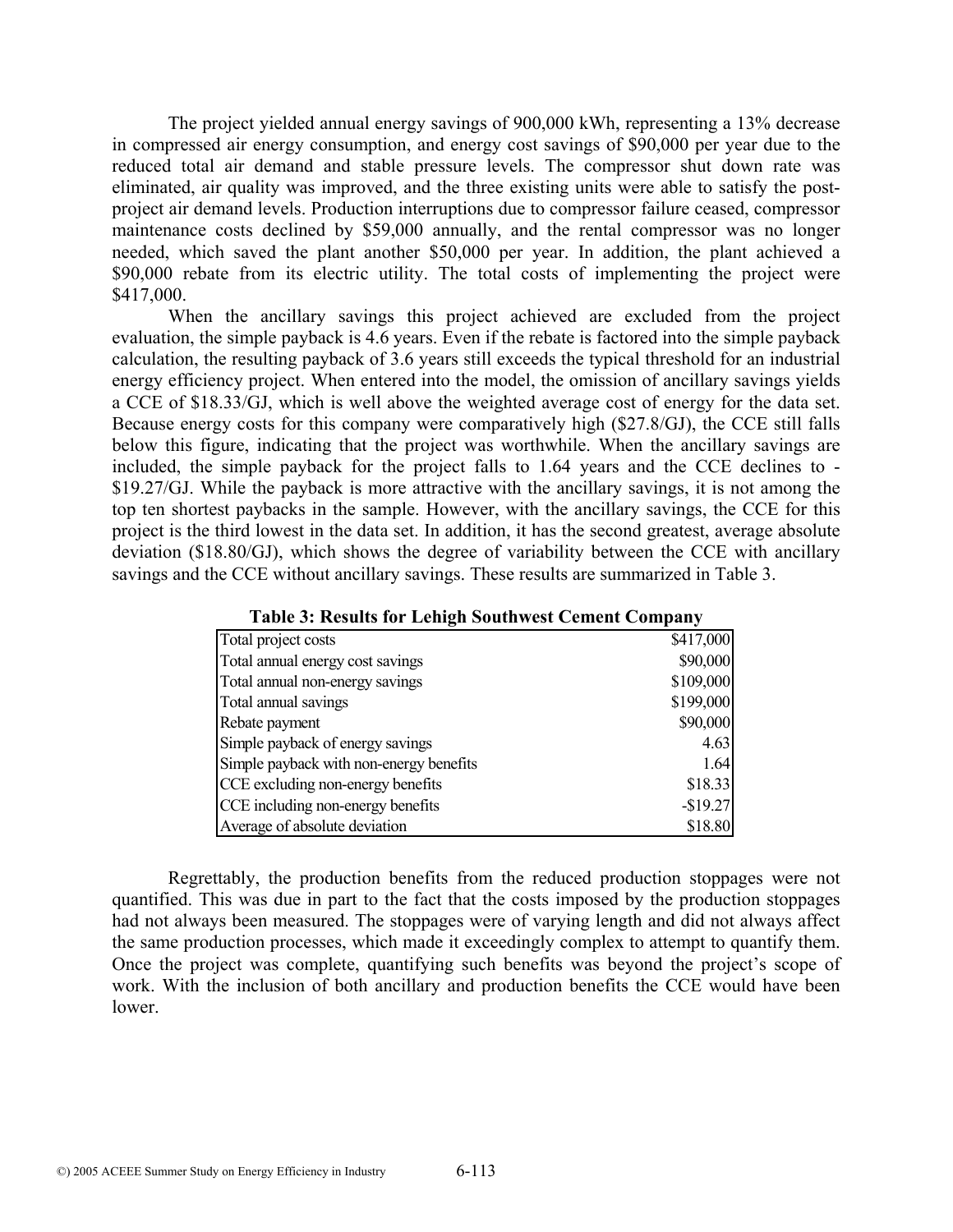The project yielded annual energy savings of 900,000 kWh, representing a 13% decrease in compressed air energy consumption, and energy cost savings of \$90,000 per year due to the reduced total air demand and stable pressure levels. The compressor shut down rate was eliminated, air quality was improved, and the three existing units were able to satisfy the postproject air demand levels. Production interruptions due to compressor failure ceased, compressor maintenance costs declined by \$59,000 annually, and the rental compressor was no longer needed, which saved the plant another \$50,000 per year. In addition, the plant achieved a \$90,000 rebate from its electric utility. The total costs of implementing the project were \$417,000.

When the ancillary savings this project achieved are excluded from the project evaluation, the simple payback is 4.6 years. Even if the rebate is factored into the simple payback calculation, the resulting payback of 3.6 years still exceeds the typical threshold for an industrial energy efficiency project. When entered into the model, the omission of ancillary savings yields a CCE of \$18.33/GJ, which is well above the weighted average cost of energy for the data set. Because energy costs for this company were comparatively high (\$27.8/GJ), the CCE still falls below this figure, indicating that the project was worthwhile. When the ancillary savings are included, the simple payback for the project falls to 1.64 years and the CCE declines to - \$19.27/GJ. While the payback is more attractive with the ancillary savings, it is not among the top ten shortest paybacks in the sample. However, with the ancillary savings, the CCE for this project is the third lowest in the data set. In addition, it has the second greatest, average absolute deviation (\$18.80/GJ), which shows the degree of variability between the CCE with ancillary savings and the CCE without ancillary savings. These results are summarized in Table 3.

| Total project costs                     | \$417,000 |
|-----------------------------------------|-----------|
| Total annual energy cost savings        | \$90,000  |
| Total annual non-energy savings         | \$109,000 |
| Total annual savings                    | \$199,000 |
| Rebate payment                          | \$90,000  |
| Simple payback of energy savings        | 4.63      |
| Simple payback with non-energy benefits | 1.64      |
| CCE excluding non-energy benefits       | \$18.33   |
| CCE including non-energy benefits       | $-$19.27$ |
| Average of absolute deviation           | \$18.80   |

|  |  |  |  |  |  |  | <b>Table 3: Results for Lehigh Southwest Cement Company</b> |  |
|--|--|--|--|--|--|--|-------------------------------------------------------------|--|
|  |  |  |  |  |  |  |                                                             |  |

Regrettably, the production benefits from the reduced production stoppages were not quantified. This was due in part to the fact that the costs imposed by the production stoppages had not always been measured. The stoppages were of varying length and did not always affect the same production processes, which made it exceedingly complex to attempt to quantify them. Once the project was complete, quantifying such benefits was beyond the project's scope of work. With the inclusion of both ancillary and production benefits the CCE would have been lower.